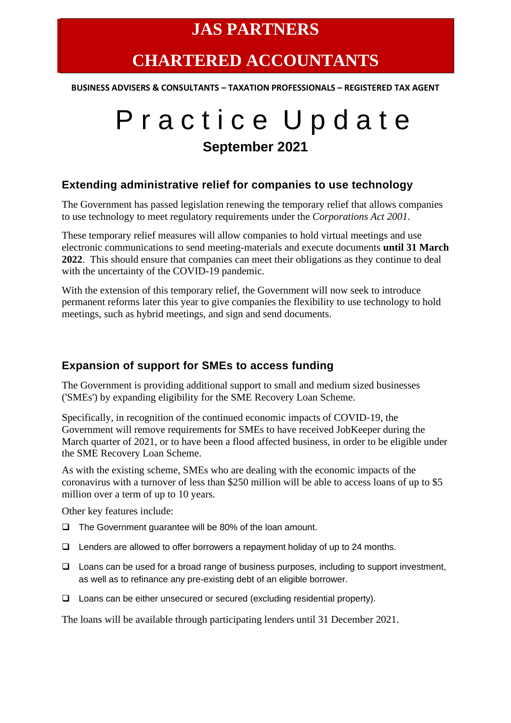# **CHARTERED ACCOUNTANTS**

**BUSINESS ADVISERS & CONSULTANTS – TAXATION PROFESSIONALS – REGISTERED TAX AGENT**

# P r a c t i c e U p d a t e **September 2021**

#### **Extending administrative relief for companies to use technology**

The Government has passed legislation renewing the temporary relief that allows companies to use technology to meet regulatory requirements under the *Corporations Act 2001*.

These temporary relief measures will allow companies to hold virtual meetings and use electronic communications to send meeting-materials and execute documents **until 31 March 2022**. This should ensure that companies can meet their obligations as they continue to deal with the uncertainty of the COVID-19 pandemic.

With the extension of this temporary relief, the Government will now seek to introduce permanent reforms later this year to give companies the flexibility to use technology to hold meetings, such as hybrid meetings, and sign and send documents.

### **Expansion of support for SMEs to access funding**

The Government is providing additional support to small and medium sized businesses ('SMEs') by expanding eligibility for the SME Recovery Loan Scheme.

Specifically, in recognition of the continued economic impacts of COVID-19, the Government will remove requirements for SMEs to have received JobKeeper during the March quarter of 2021, or to have been a flood affected business, in order to be eligible under the SME Recovery Loan Scheme.

As with the existing scheme, SMEs who are dealing with the economic impacts of the coronavirus with a turnover of less than \$250 million will be able to access loans of up to \$5 million over a term of up to 10 years.

Other key features include:

- ❑ The Government guarantee will be 80% of the loan amount.
- ❑ Lenders are allowed to offer borrowers a repayment holiday of up to 24 months.
- ❑ Loans can be used for a broad range of business purposes, including to support investment, as well as to refinance any pre-existing debt of an eligible borrower.
- ❑ Loans can be either unsecured or secured (excluding residential property).

The loans will be available through participating lenders until 31 December 2021.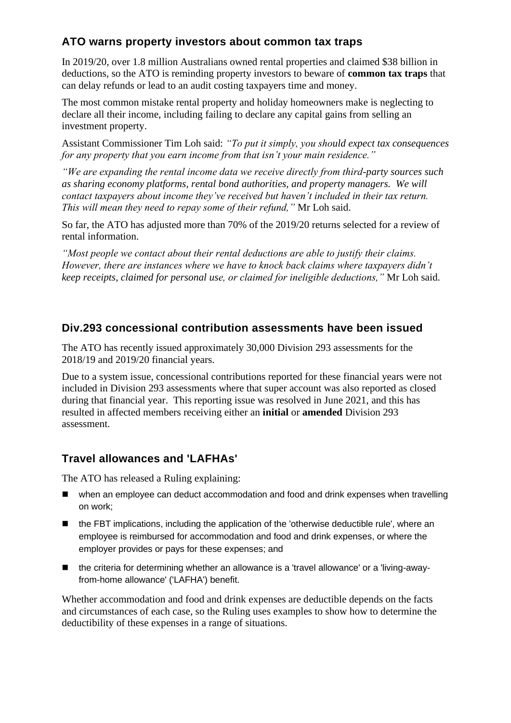## **ATO warns property investors about common tax traps**

In 2019/20, over 1.8 million Australians owned rental properties and claimed \$38 billion in deductions, so the ATO is reminding property investors to beware of **common tax traps** that can delay refunds or lead to an audit costing taxpayers time and money.

The most common mistake rental property and holiday homeowners make is neglecting to declare all their income, including failing to declare any capital gains from selling an investment property.

Assistant Commissioner Tim Loh said: *"To put it simply, you should expect tax consequences for any property that you earn income from that isn't your main residence."*

*"We are expanding the rental income data we receive directly from third-party sources such as sharing economy platforms, rental bond authorities, and property managers. We will contact taxpayers about income they've received but haven't included in their tax return. This will mean they need to repay some of their refund,"* Mr Loh said.

So far, the ATO has adjusted more than 70% of the 2019/20 returns selected for a review of rental information.

*"Most people we contact about their rental deductions are able to justify their claims. However, there are instances where we have to knock back claims where taxpayers didn't keep receipts, claimed for personal use, or claimed for ineligible deductions,"* Mr Loh said.

#### **Div.293 concessional contribution assessments have been issued**

The ATO has recently issued approximately 30,000 Division 293 assessments for the 2018/19 and 2019/20 financial years.

Due to a system issue, concessional contributions reported for these financial years were not included in Division 293 assessments where that super account was also reported as closed during that financial year. This reporting issue was resolved in June 2021, and this has resulted in affected members receiving either an **initial** or **amended** Division 293 assessment.

### **Travel allowances and 'LAFHAs'**

The ATO has released a Ruling explaining:

- when an employee can deduct accommodation and food and drink expenses when travelling on work;
- the FBT implications, including the application of the 'otherwise deductible rule', where an employee is reimbursed for accommodation and food and drink expenses, or where the employer provides or pays for these expenses; and
- the criteria for determining whether an allowance is a 'travel allowance' or a 'living-awayfrom-home allowance' ('LAFHA') benefit.

Whether accommodation and food and drink expenses are deductible depends on the facts and circumstances of each case, so the Ruling uses examples to show how to determine the deductibility of these expenses in a range of situations.